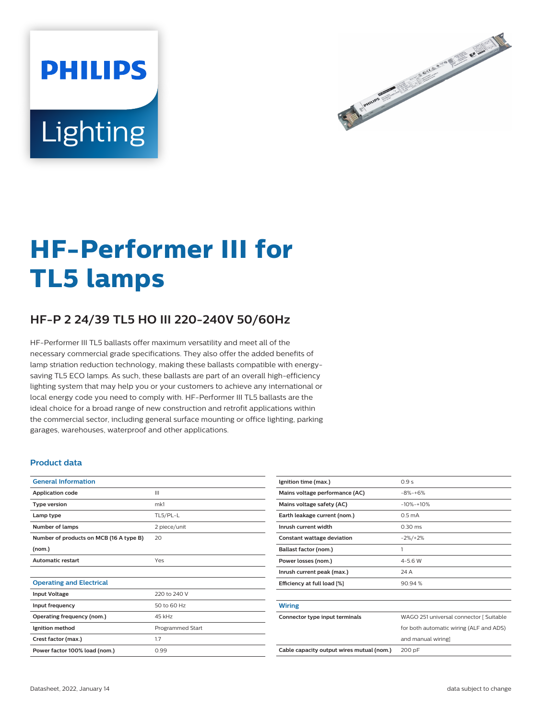# **PHILIPS** Lighting



# **HF-Performer III for TL5 lamps**

# **HF-P 2 24/39 TL5 HO III 220-240V 50/60Hz**

HF-Performer III TL5 ballasts offer maximum versatility and meet all of the necessary commercial grade specifications. They also offer the added benefits of lamp striation reduction technology, making these ballasts compatible with energysaving TL5 ECO lamps. As such, these ballasts are part of an overall high-efficiency lighting system that may help you or your customers to achieve any international or local energy code you need to comply with. HF-Performer III TL5 ballasts are the ideal choice for a broad range of new construction and retrofit applications within the commercial sector, including general surface mounting or office lighting, parking garages, warehouses, waterproof and other applications.

#### **Product data**

| <b>General Information</b>              |                  |  |  |  |  |
|-----------------------------------------|------------------|--|--|--|--|
| <b>Application code</b>                 | Ш                |  |  |  |  |
| <b>Type version</b>                     | mk1              |  |  |  |  |
| Lamp type                               | TL5/PL-L         |  |  |  |  |
| Number of lamps                         | 2 piece/unit     |  |  |  |  |
| Number of products on MCB (16 A type B) | 20               |  |  |  |  |
| (nom.)                                  |                  |  |  |  |  |
| <b>Automatic restart</b>                | Yes              |  |  |  |  |
|                                         |                  |  |  |  |  |
| <b>Operating and Electrical</b>         |                  |  |  |  |  |
| <b>Input Voltage</b>                    | 220 to 240 V     |  |  |  |  |
| Input frequency                         | 50 to 60 Hz      |  |  |  |  |
| Operating frequency (nom.)              | 45 kHz           |  |  |  |  |
| Ignition method                         | Programmed Start |  |  |  |  |
| Crest factor (max.)                     | 1.7              |  |  |  |  |
| Power factor 100% load (nom.)           | 0.99             |  |  |  |  |

| Ignition time (max.)                      | 0.9s                                    |
|-------------------------------------------|-----------------------------------------|
| Mains voltage performance (AC)            | $-8% - +6%$                             |
| Mains voltage safety (AC)                 | $-10% - +10%$                           |
| Earth leakage current (nom.)              | 0.5 <sub>m</sub> A                      |
| Inrush current width                      | $0.30 \text{ ms}$                       |
| Constant wattage deviation                | $-2\%/+2\%$                             |
| Ballast factor (nom.)                     | 1                                       |
| Power losses (nom.)                       | $4 - 5.6 W$                             |
| Inrush current peak (max.)                | 24 A                                    |
| Efficiency at full load [%]               | 90.94%                                  |
|                                           |                                         |
| <b>Wiring</b>                             |                                         |
| Connector type input terminals            | WAGO 251 universal connector [ Suitable |
|                                           | for both automatic wiring (ALF and ADS) |
|                                           | and manual wiring]                      |
| Cable capacity output wires mutual (nom.) | 200 pF                                  |
|                                           |                                         |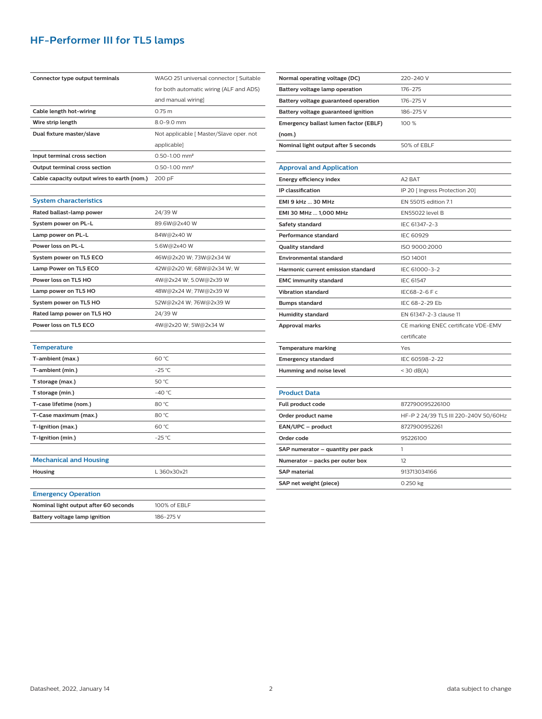## **HF-Performer III for TL5 lamps**

| Connector type output terminals             | WAGO 251 universal connector [ Suitable |  |  |  |  |
|---------------------------------------------|-----------------------------------------|--|--|--|--|
|                                             | for both automatic wiring (ALF and ADS) |  |  |  |  |
|                                             | and manual wiring]                      |  |  |  |  |
| Cable length hot-wiring                     | $0.75 \; m$                             |  |  |  |  |
| Wire strip length                           | 8.0-9.0 mm                              |  |  |  |  |
| Dual fixture master/slave                   | Not applicable [ Master/Slave oper. not |  |  |  |  |
|                                             | applicable]                             |  |  |  |  |
| Input terminal cross section                | $0.50 - 1.00$ mm <sup>2</sup>           |  |  |  |  |
| Output terminal cross section               | 0.50-1.00 mm <sup>2</sup>               |  |  |  |  |
| Cable capacity output wires to earth (nom.) | 200 pF                                  |  |  |  |  |
|                                             |                                         |  |  |  |  |
| <b>System characteristics</b>               |                                         |  |  |  |  |
| Rated ballast-lamp power                    | 24/39 W                                 |  |  |  |  |
| System power on PL-L                        | 89.6W@2x40 W                            |  |  |  |  |
| Lamp power on PL-L                          | 84W@2x40W                               |  |  |  |  |
| Power loss on PL-L                          | 5.6W@2x40 W                             |  |  |  |  |
| System power on TL5 ECO                     | 46W@2x20 W; 73W@2x34 W                  |  |  |  |  |
| Lamp Power on TL5 ECO                       | 42W@2x20 W; 68W@2x34 W; W               |  |  |  |  |
| Power loss on TL5 HO                        | 4W@2x24 W; 5.0W@2x39 W                  |  |  |  |  |
| Lamp power on TL5 HO                        | 48W@2x24 W; 71W@2x39 W                  |  |  |  |  |
| System power on TL5 HO                      | 52W@2x24 W; 76W@2x39 W                  |  |  |  |  |
| Rated lamp power on TL5 HO                  | 24/39 W                                 |  |  |  |  |
| Power loss on TL5 ECO                       | 4W@2x20 W; 5W@2x34 W                    |  |  |  |  |
|                                             |                                         |  |  |  |  |
| <b>Temperature</b>                          |                                         |  |  |  |  |
| T-ambient (max.)                            | 60 °C                                   |  |  |  |  |
| T-ambient (min.)                            | $-25 °C$                                |  |  |  |  |
| T storage (max.)                            | 50 °C                                   |  |  |  |  |
| T storage (min.)                            | $-40 °C$                                |  |  |  |  |
| T-case lifetime (nom.)                      | 80 °C                                   |  |  |  |  |
| T-Case maximum (max.)                       | 80 °C                                   |  |  |  |  |
| T-Ignition (max.)                           | 60 °C                                   |  |  |  |  |
| T-Ignition (min.)                           | $-25$ °C                                |  |  |  |  |
|                                             |                                         |  |  |  |  |
| <b>Mechanical and Housing</b>               |                                         |  |  |  |  |
| Housing                                     | L 360x30x21                             |  |  |  |  |
|                                             |                                         |  |  |  |  |
| <b>Emergency Operation</b>                  |                                         |  |  |  |  |
| Nominal light output after 60 seconds       | 100% of EBLF                            |  |  |  |  |

| Nominal light output after 5 seconds | 50% of EBLF                           |  |  |  |
|--------------------------------------|---------------------------------------|--|--|--|
|                                      |                                       |  |  |  |
| <b>Approval and Application</b>      |                                       |  |  |  |
| Energy efficiency index              | A <sub>2</sub> BAT                    |  |  |  |
| <b>IP</b> classification             | IP 20 [ Ingress Protection 20]        |  |  |  |
| <b>EMI 9 kHz  30 MHz</b>             | EN 55015 edition 7.1                  |  |  |  |
| EMI 30 MHz  1,000 MHz                | <b>EN55022 level B</b>                |  |  |  |
| Safety standard                      | IEC 61347-2-3                         |  |  |  |
| Performance standard                 | IEC 60929                             |  |  |  |
| <b>Quality standard</b>              | ISO 9000:2000                         |  |  |  |
| <b>Environmental standard</b>        | <b>ISO 14001</b>                      |  |  |  |
| Harmonic current emission standard   | IEC 61000-3-2                         |  |  |  |
| <b>EMC immunity standard</b>         | IEC 61547                             |  |  |  |
| <b>Vibration standard</b>            | IEC68-2-6 F c                         |  |  |  |
| <b>Bumps standard</b>                | IFC 68-2-29 Fb                        |  |  |  |
| <b>Humidity standard</b>             | FN 61347-2-3 clause 11                |  |  |  |
| <b>Approval marks</b>                | CE marking ENEC certificate VDE-EMV   |  |  |  |
|                                      | certificate                           |  |  |  |
| <b>Temperature marking</b>           | Yes                                   |  |  |  |
| <b>Emergency standard</b>            | IEC 60598-2-22                        |  |  |  |
| Humming and noise level              | $<$ 30 dB(A)                          |  |  |  |
|                                      |                                       |  |  |  |
| <b>Product Data</b>                  |                                       |  |  |  |
| Full product code                    | 872790095226100                       |  |  |  |
| Order product name                   | HF-P 2 24/39 TL5 III 220-240V 50/60Hz |  |  |  |

100 %

**Normal operating voltage (DC)** 220-240 V **Battery voltage lamp operation** 176-275 **Battery voltage guaranteed operation** 176-275 V **Battery voltage guaranteed ignition** 186-275 V

**Emergency ballast lumen factor (EBLF)**

**(nom.)**

| <b>Product Data</b>               |                                       |
|-----------------------------------|---------------------------------------|
| <b>Full product code</b>          | 872790095226100                       |
| Order product name                | HF-P 2 24/39 TL5 III 220-240V 50/60Hz |
| EAN/UPC - product                 | 8727900952261                         |
| Order code                        | 95226100                              |
| SAP numerator - quantity per pack |                                       |
| Numerator - packs per outer box   | 12                                    |
| <b>SAP material</b>               | 913713034166                          |
| SAP net weight (piece)            | 0.250 kg                              |

| Housing                               | L 360x30x21  |  |  |
|---------------------------------------|--------------|--|--|
|                                       |              |  |  |
| <b>Emergency Operation</b>            |              |  |  |
| Nominal light output after 60 seconds | 100% of EBLF |  |  |
| Battery voltage lamp ignition         | 186-275 V    |  |  |